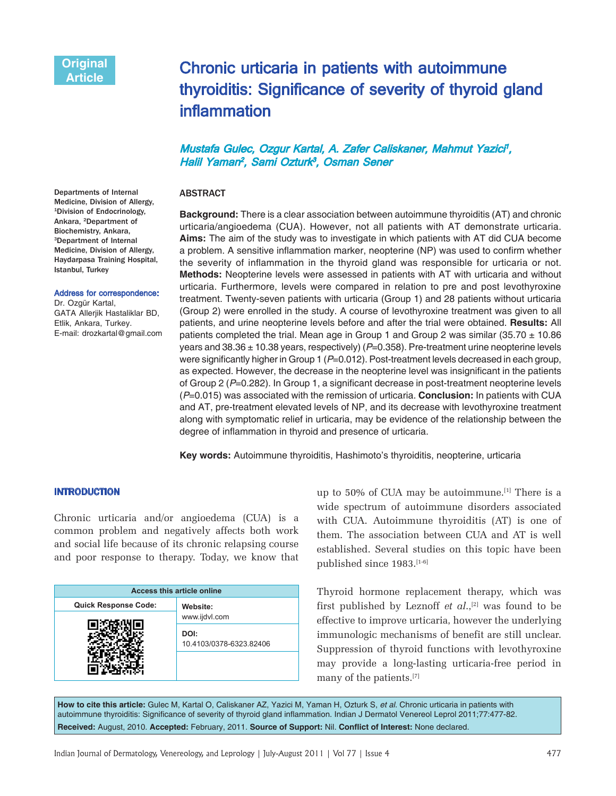Departments of Internal Medicine, Division of Allergy, 1Division of Endocrinology, Ankara, 2Department of Biochemistry, Ankara, 3Department of Internal Medicine, Division of Allergy, Haydarpasa Training Hospital,

Istanbul, Turkey

Dr. Ozgür Kartal,

Address for correspondence:

GATA Allerjik Hastaliklar BD, Etlik, Ankara, Turkey. E-mail: drozkartal@gmail.com

# Chronic urticaria in patients with autoimmune thyroiditis: Significance of severity of thyroid gland inflammation

# Mustafa Gulec, Ozgur Kartal, A. Zafer Caliskaner, Mahmut Yazici<sup>†</sup>, Halil Yaman<sup>2</sup>, Sami Ozturk<sup>3</sup>, Osman Sener

# ABSTRACT

**Background:** There is a clear association between autoimmune thyroiditis (AT) and chronic urticaria/angioedema (CUA). However, not all patients with AT demonstrate urticaria. **Aims:** The aim of the study was to investigate in which patients with AT did CUA become a problem. A sensitive inflammation marker, neopterine (NP) was used to confirm whether the severity of inflammation in the thyroid gland was responsible for urticaria or not. **Methods:** Neopterine levels were assessed in patients with AT with urticaria and without urticaria. Furthermore, levels were compared in relation to pre and post levothyroxine treatment. Twenty-seven patients with urticaria (Group 1) and 28 patients without urticaria (Group 2) were enrolled in the study. A course of levothyroxine treatment was given to all patients, and urine neopterine levels before and after the trial were obtained. **Results:** All patients completed the trial. Mean age in Group 1 and Group 2 was similar (35.70  $\pm$  10.86 years and 38.36  $\pm$  10.38 years, respectively) (P=0.358). Pre-treatment urine neopterine levels were significantly higher in Group 1 ( $P=0.012$ ). Post-treatment levels decreased in each group, as expected. However, the decrease in the neopterine level was insignificant in the patients of Group 2 (*P*=0.282). In Group 1, a significant decrease in post-treatment neopterine levels (*P*=0.015) was associated with the remission of urticaria. **Conclusion:** In patients with CUA and AT, pre-treatment elevated levels of NP, and its decrease with levothyroxine treatment along with symptomatic relief in urticaria, may be evidence of the relationship between the degree of inflammation in thyroid and presence of urticaria.

**Key words:** Autoimmune thyroiditis, Hashimoto's thyroiditis, neopterine, urticaria

## INTRODUCTION

Chronic urticaria and/or angioedema (CUA) is a common problem and negatively affects both work and social life because of its chronic relapsing course and poor response to therapy. Today, we know that

| <b>Access this article online</b> |                                 |  |
|-----------------------------------|---------------------------------|--|
| <b>Quick Response Code:</b>       | Website:                        |  |
|                                   | www.ijdvl.com                   |  |
|                                   | DOI:<br>10.4103/0378-6323.82406 |  |
|                                   |                                 |  |

up to 50% of CUA may be autoimmune.<sup>[1]</sup> There is a wide spectrum of autoimmune disorders associated with CUA. Autoimmune thyroiditis (AT) is one of them. The association between CUA and AT is well established. Several studies on this topic have been published since 1983.[1-6]

Thyroid hormone replacement therapy, which was first published by Leznoff *et al.*,<sup>[2]</sup> was found to be effective to improve urticaria, however the underlying immunologic mechanisms of benefit are still unclear. Suppression of thyroid functions with levothyroxine may provide a long-lasting urticaria-free period in many of the patients.[7]

**How to cite this article:** Gulec M, Kartal O, Caliskaner AZ, Yazici M, Yaman H, Ozturk S, *et al*. Chronic urticaria in patients with autoimmune thyroiditis: Significance of severity of thyroid gland inflammation. Indian J Dermatol Venereol Leprol 2011;77:477-82. **Received:** August, 2010. **Accepted:** February, 2011. **Source of Support:** Nil. **Conflict of Interest:** None declared.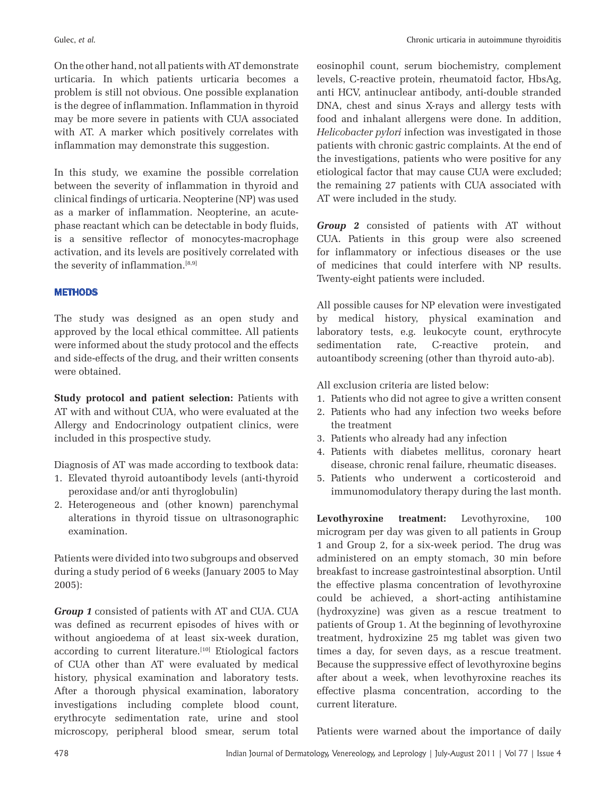On the other hand, not all patients with AT demonstrate urticaria. In which patients urticaria becomes a problem is still not obvious. One possible explanation is the degree of inflammation. Inflammation in thyroid may be more severe in patients with CUA associated with AT. A marker which positively correlates with inflammation may demonstrate this suggestion.

In this study, we examine the possible correlation between the severity of inflammation in thyroid and clinical findings of urticaria. Neopterine (NP) was used as a marker of inflammation. Neopterine, an acutephase reactant which can be detectable in body fluids, is a sensitive reflector of monocytes-macrophage activation, and its levels are positively correlated with the severity of inflammation.[8,9]

# **METHODS**

The study was designed as an open study and approved by the local ethical committee. All patients were informed about the study protocol and the effects and side-effects of the drug, and their written consents were obtained.

**Study protocol and patient selection:** Patients with AT with and without CUA, who were evaluated at the Allergy and Endocrinology outpatient clinics, were included in this prospective study.

Diagnosis of AT was made according to textbook data:

- 1. Elevated thyroid autoantibody levels (anti-thyroid peroxidase and/or anti thyroglobulin)
- 2. Heterogeneous and (other known) parenchymal alterations in thyroid tissue on ultrasonographic examination.

Patients were divided into two subgroups and observed during a study period of 6 weeks (January 2005 to May 2005):

*Group 1* consisted of patients with AT and CUA. CUA was defined as recurrent episodes of hives with or without angioedema of at least six-week duration, according to current literature.<sup>[10]</sup> Etiological factors of CUA other than AT were evaluated by medical history, physical examination and laboratory tests. After a thorough physical examination, laboratory investigations including complete blood count, erythrocyte sedimentation rate, urine and stool microscopy, peripheral blood smear, serum total

eosinophil count, serum biochemistry, complement levels, C-reactive protein, rheumatoid factor, HbsAg, anti HCV, antinuclear antibody, anti-double stranded DNA, chest and sinus X-rays and allergy tests with food and inhalant allergens were done. In addition, *Helicobacter pylori* infection was investigated in those patients with chronic gastric complaints. At the end of the investigations, patients who were positive for any etiological factor that may cause CUA were excluded; the remaining 27 patients with CUA associated with AT were included in the study.

*Group 2* consisted of patients with AT without CUA. Patients in this group were also screened for inflammatory or infectious diseases or the use of medicines that could interfere with NP results. Twenty-eight patients were included.

All possible causes for NP elevation were investigated by medical history, physical examination and laboratory tests, e.g. leukocyte count, erythrocyte sedimentation rate, C-reactive protein, and autoantibody screening (other than thyroid auto-ab).

All exclusion criteria are listed below:

- 1. Patients who did not agree to give a written consent
- 2. Patients who had any infection two weeks before the treatment
- 3. Patients who already had any infection
- 4. Patients with diabetes mellitus, coronary heart disease, chronic renal failure, rheumatic diseases.
- 5. Patients who underwent a corticosteroid and immunomodulatory therapy during the last month.

**Levothyroxine treatment:** Levothyroxine, 100 microgram per day was given to all patients in Group 1 and Group 2, for a six-week period. The drug was administered on an empty stomach, 30 min before breakfast to increase gastrointestinal absorption. Until the effective plasma concentration of levothyroxine could be achieved, a short-acting antihistamine (hydroxyzine) was given as a rescue treatment to patients of Group 1. At the beginning of levothyroxine treatment, hydroxizine 25 mg tablet was given two times a day, for seven days, as a rescue treatment. Because the suppressive effect of levothyroxine begins after about a week, when levothyroxine reaches its effective plasma concentration, according to the current literature.

Patients were warned about the importance of daily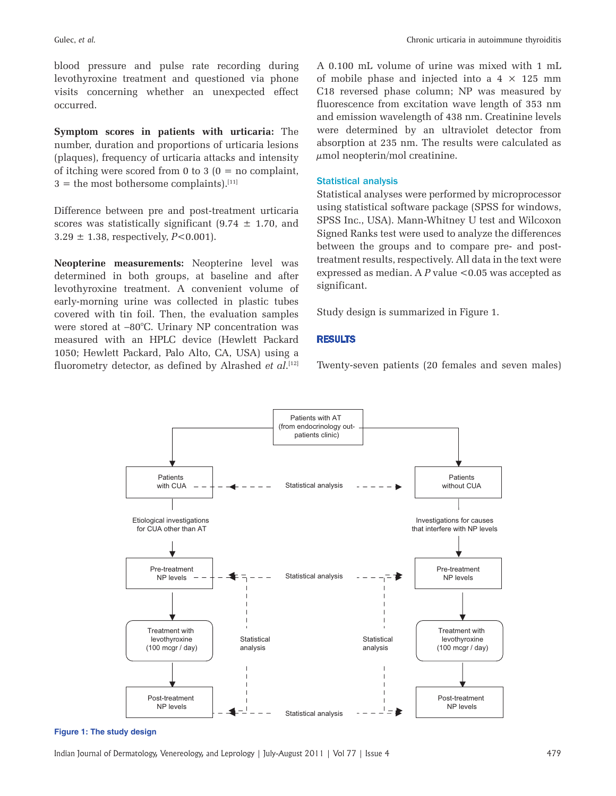blood pressure and pulse rate recording during levothyroxine treatment and questioned via phone visits concerning whether an unexpected effect occurred.

**Symptom scores in patients with urticaria:** The number, duration and proportions of urticaria lesions (plaques), frequency of urticaria attacks and intensity of itching were scored from 0 to 3  $(0 = no$  complaint,  $3 =$  the most bothersome complaints).<sup>[11]</sup>

Difference between pre and post-treatment urticaria scores was statistically significant  $(9.74 \pm 1.70,$  and  $3.29 \pm 1.38$ , respectively, *P*<0.001).

**Neopterine measurements:** Neopterine level was determined in both groups, at baseline and after levothyroxine treatment. A convenient volume of early-morning urine was collected in plastic tubes covered with tin foil. Then, the evaluation samples were stored at –80°C. Urinary NP concentration was measured with an HPLC device (Hewlett Packard 1050; Hewlett Packard, Palo Alto, CA, USA) using a fluorometry detector, as defined by Alrashed *et al*. [12]

A 0.100 mL volume of urine was mixed with 1 mL of mobile phase and injected into a  $4 \times 125$  mm C18 reversed phase column; NP was measured by fluorescence from excitation wave length of 353 nm and emission wavelength of 438 nm. Creatinine levels were determined by an ultraviolet detector from absorption at 235 nm. The results were calculated as  $\mu$ mol neopterin/mol creatinine.

#### Statistical analysis

Statistical analyses were performed by microprocessor using statistical software package (SPSS for windows, SPSS Inc., USA). Mann-Whitney U test and Wilcoxon Signed Ranks test were used to analyze the differences between the groups and to compare pre- and posttreatment results, respectively. All data in the text were expressed as median. A *P* value <0.05 was accepted as significant.

Study design is summarized in Figure 1.

# RESULTS

Twenty-seven patients (20 females and seven males)



**Figure 1: The study design**

Indian Journal of Dermatology, Venereology, and Leprology | July-August 2011 | Vol 77 | Issue 4 479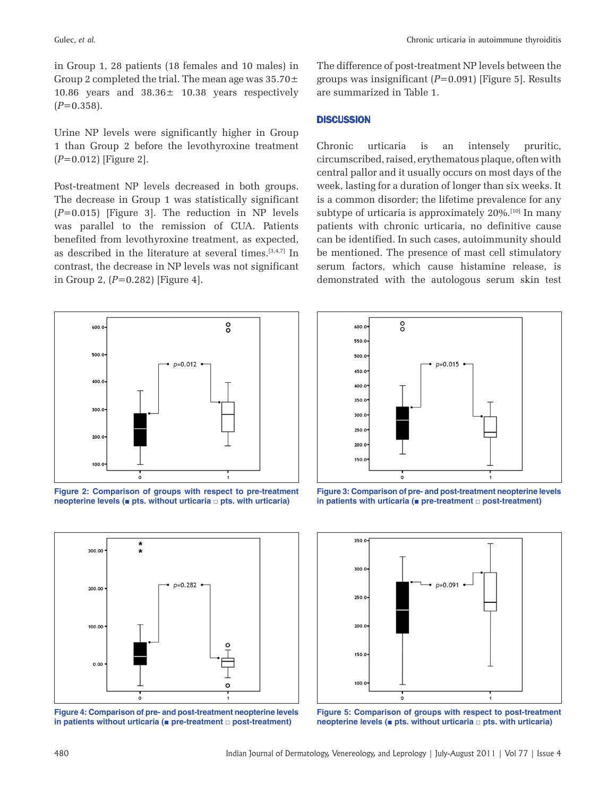in Group 1, 28 patients (18 females and 10 males) in Group 2 completed the trial. The mean age was  $35.70\pm$ 10.86 years and 38.36± 10.38 years respectively  $(P=0.358)$ .

Urine NP levels were significantly higher in Group 1 than Group 2 before the levothyroxine treatment (*P*=0.012) [Figure 2].

Post-treatment NP levels decreased in both groups. The decrease in Group 1 was statistically significant (*P*=0.015) [Figure 3]. The reduction in NP levels was parallel to the remission of CUA. Patients benefited from levothyroxine treatment, as expected, as described in the literature at several times.[3,4,7] In contrast, the decrease in NP levels was not significant in Group 2, (*P*=0.282) [Figure 4].



**Figure 2: Comparison of groups with respect to pre-treatment neopterine levels (■ pts. without urticaria □ pts. with urticaria)**



**Figure 4: Comparison of pre- and post-treatment neopterine levels in patients without urticaria (■ pre-treatment □ post-treatment)**

The difference of post-treatment NP levels between the groups was insignificant (*P*=0.091) [Figure 5]. Results are summarized in Table 1.

# **DISCUSSION**

Chronic urticaria is an intensely pruritic, circumscribed, raised, erythematous plaque, often with central pallor and it usually occurs on most days of the week, lasting for a duration of longer than six weeks. It is a common disorder; the lifetime prevalence for any subtype of urticaria is approximately 20%.<sup>[10]</sup> In many patients with chronic urticaria, no definitive cause can be identified. In such cases, autoimmunity should be mentioned. The presence of mast cell stimulatory serum factors, which cause histamine release, is demonstrated with the autologous serum skin test



**Figure 3: Comparison of pre- and post-treatment neopterine levels in patients with urticaria (■ pre-treatment □ post-treatment)**



**Figure 5: Comparison of groups with respect to post-treatment neopterine levels (■ pts. without urticaria □ pts. with urticaria)**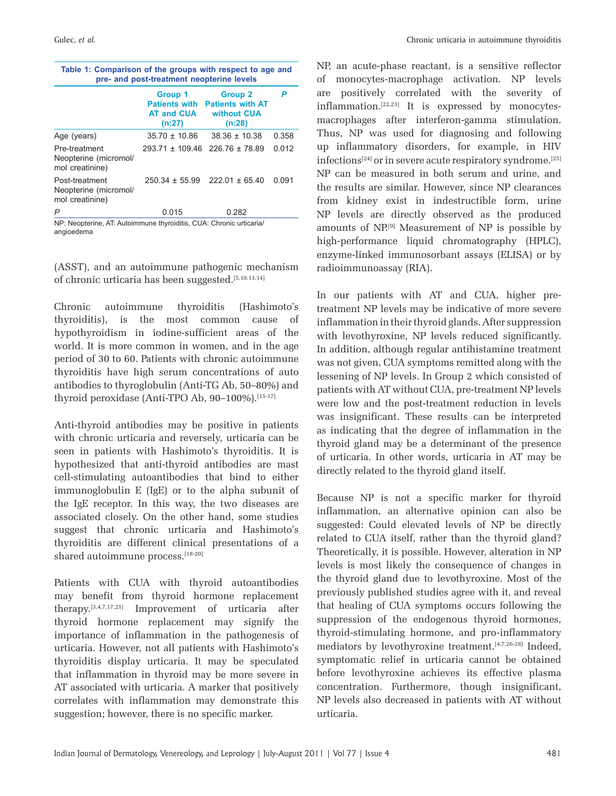| pre- and post-treatment neopterine levels                  |                                                                |                                                                    |       |  |
|------------------------------------------------------------|----------------------------------------------------------------|--------------------------------------------------------------------|-------|--|
|                                                            | Group 1<br><b>Patients with</b><br><b>AT and CUA</b><br>(n:27) | <b>Group 2</b><br><b>Patients with AT</b><br>without CUA<br>(n:28) |       |  |
| Age (years)                                                | $35.70 \pm 10.86$                                              | $38.36 \pm 10.38$                                                  | 0.358 |  |
| Pre-treatment<br>Neopterine (micromol/<br>mol creatinine)  |                                                                | $293.71 \pm 109.46$ 226.76 $\pm$ 78.89                             | 0.012 |  |
| Post-treatment<br>Neopterine (micromol/<br>mol creatinine) | $250.34 \pm 55.99$                                             | $222.01 \pm 65.40$                                                 | 0.091 |  |
| P                                                          | 0.015                                                          | 0.282                                                              |       |  |

**Table 1: Comparison of the groups with respect to age and** 

*P* 0.015 0.282

NP: Neopterine, AT: Autoimmune thyroiditis, CUA: Chronic urticaria/ angioedema

(ASST), and an autoimmune pathogenic mechanism of chronic urticaria has been suggested.[5,10,13,14]

Chronic autoimmune thyroiditis (Hashimoto's thyroiditis), is the most common cause of hypothyroidism in iodine-sufficient areas of the world. It is more common in women, and in the age period of 30 to 60. Patients with chronic autoimmune thyroiditis have high serum concentrations of auto antibodies to thyroglobulin (Anti-TG Ab, 50–80%) and thyroid peroxidase (Anti-TPO Ab, 90-100%).<sup>[15-17]</sup>

Anti-thyroid antibodies may be positive in patients with chronic urticaria and reversely, urticaria can be seen in patients with Hashimoto's thyroiditis. It is hypothesized that anti-thyroid antibodies are mast cell-stimulating autoantibodies that bind to either immunoglobulin E (IgE) or to the alpha subunit of the IgE receptor. In this way, the two diseases are associated closely. On the other hand, some studies suggest that chronic urticaria and Hashimoto's thyroiditis are different clinical presentations of a shared autoimmune process.[18-20]

Patients with CUA with thyroid autoantibodies may benefit from thyroid hormone replacement therapy.[3,4,7,17,21] Improvement of urticaria after thyroid hormone replacement may signify the importance of inflammation in the pathogenesis of urticaria. However, not all patients with Hashimoto's thyroiditis display urticaria. It may be speculated that inflammation in thyroid may be more severe in AT associated with urticaria. A marker that positively correlates with inflammation may demonstrate this suggestion; however, there is no specific marker.

NP, an acute-phase reactant, is a sensitive reflector of monocytes-macrophage activation. NP levels are positively correlated with the severity of inflammation.[22,23] It is expressed by monocytesmacrophages after interferon-gamma stimulation. Thus, NP was used for diagnosing and following up inflammatory disorders, for example, in HIV infections<sup>[24]</sup> or in severe acute respiratory syndrome.<sup>[25]</sup> NP can be measured in both serum and urine, and the results are similar. However, since NP clearances from kidney exist in indestructible form, urine NP levels are directly observed as the produced amounts of NP.[9] Measurement of NP is possible by high-performance liquid chromatography (HPLC), enzyme-linked immunosorbant assays (ELISA) or by radioimmunoassay (RIA).

In our patients with AT and CUA, higher pretreatment NP levels may be indicative of more severe inflammation in their thyroid glands. After suppression with levothyroxine, NP levels reduced significantly. In addition, although regular antihistamine treatment was not given, CUA symptoms remitted along with the lessening of NP levels. In Group 2 which consisted of patients with AT without CUA, pre-treatment NP levels were low and the post-treatment reduction in levels was insignificant. These results can be interpreted as indicating that the degree of inflammation in the thyroid gland may be a determinant of the presence of urticaria. In other words, urticaria in AT may be directly related to the thyroid gland itself.

Because NP is not a specific marker for thyroid inflammation, an alternative opinion can also be suggested: Could elevated levels of NP be directly related to CUA itself, rather than the thyroid gland? Theoretically, it is possible. However, alteration in NP levels is most likely the consequence of changes in the thyroid gland due to levothyroxine. Most of the previously published studies agree with it, and reveal that healing of CUA symptoms occurs following the suppression of the endogenous thyroid hormones, thyroid-stimulating hormone, and pro-inflammatory mediators by levothyroxine treatment.<sup>[4,7,26-28]</sup> Indeed, symptomatic relief in urticaria cannot be obtained before levothyroxine achieves its effective plasma concentration. Furthermore, though insignificant, NP levels also decreased in patients with AT without urticaria.